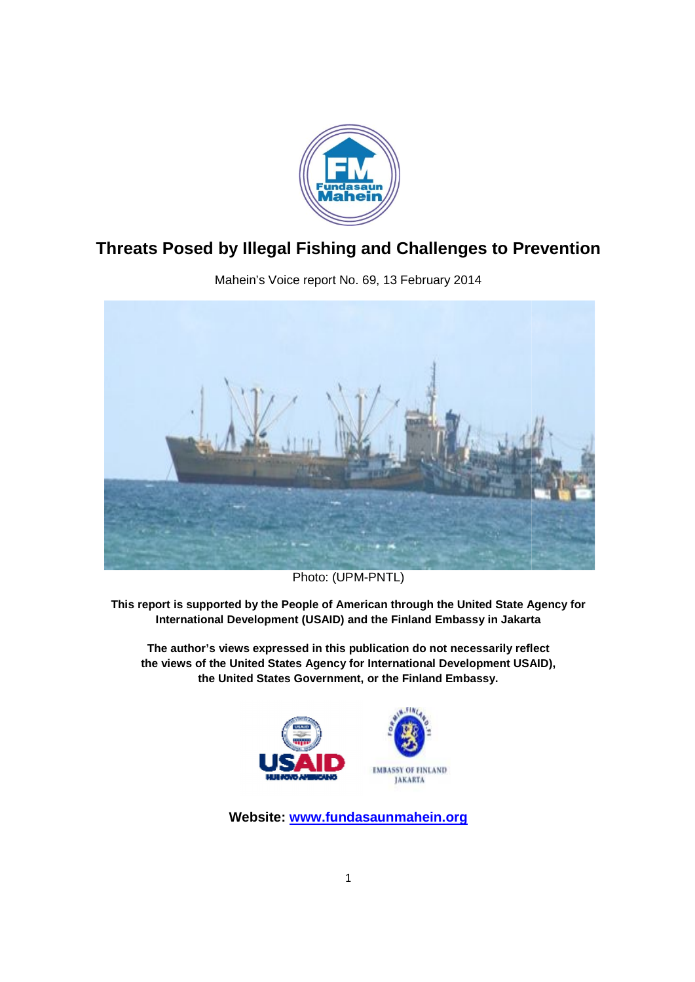

# **Threats Posed by Illegal Fishing and Challenges to Prevention Fishing and Challenges to**



Mahein's Voice report No. 69, 13 February 2014

Photo: (UPM-PNTL)

**This report is supported by the People of American t rted through the United State Agency for** International Development (USAID) and the Finland Embassy in Jakarta

**The author's views expressed in this publication do not necessarily reflect** The author's views expressed in this publication do not necessarily reflect<br>the views of the United States Agency for International Development USAID), the United States Government, or the Finland Embassy.



**Website: www.fundasaunmahein.org**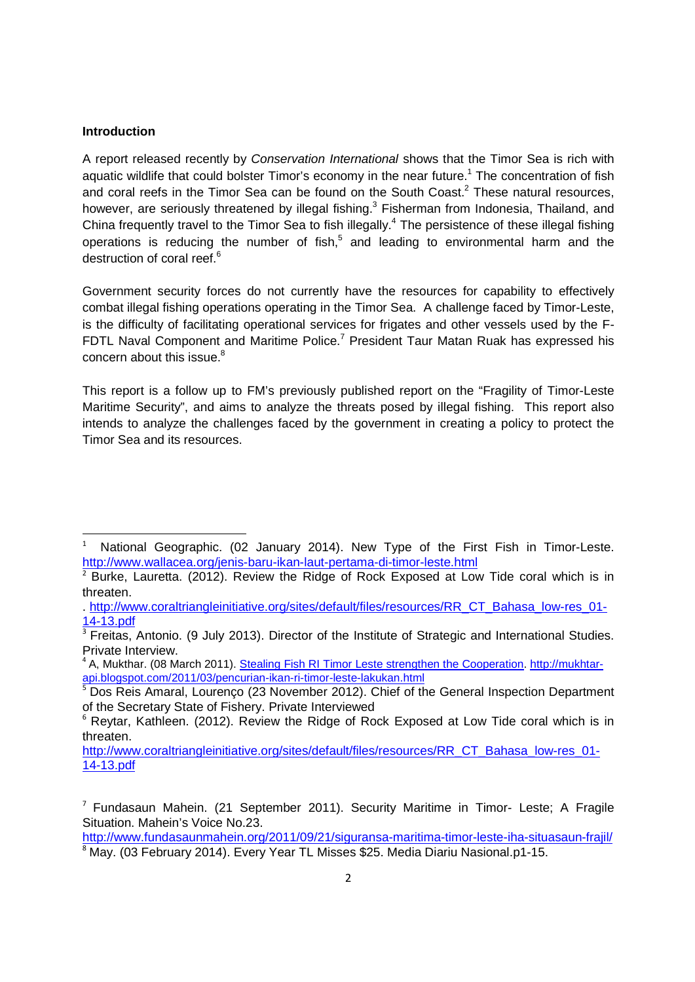#### **Introduction**

A report released recently by *Conservation International* shows that the Timor Sea is rich with aquatic wildlife that could bolster Timor's economy in the near future.<sup>1</sup> The concentration of fish and coral reefs in the Timor Sea can be found on the South Coast. <sup>2</sup> These natural resources, however, are seriously threatened by illegal fishing.<sup>3</sup> Fisherman from Indonesia, Thailand, and China frequently travel to the Timor Sea to fish illegally.<sup>4</sup> The persistence of these illegal fishing operations is reducing the number of fish,<sup>5</sup> and leading to environmental harm and the destruction of coral reef.<sup>6</sup>

Government security forces do not currently have the resources for capability to effectively combat illegal fishing operations operating in the Timor Sea. A challenge faced by Timor-Leste, is the difficulty of facilitating operational services for frigates and other vessels used by the F-FDTL Naval Component and Maritime Police.<sup>7</sup> President Taur Matan Ruak has expressed his concern about this issue.<sup>8</sup>

This report is a follow up to FM's previously published report on the "Fragility of Timor-Leste Maritime Security", and aims to analyze the threats posed by illegal fishing. This report also intends to analyze the challenges faced by the government in creating a policy to protect the Timor Sea and its resources.

 $\overline{1}$  National Geographic. (02 January 2014). New Type of the First Fish in Timor-Leste. http://www.wallacea.org/jenis-baru-ikan-laut-pertama-di-timor-leste.html

<sup>&</sup>lt;sup>2</sup> Burke, Lauretta. (2012). Review the Ridge of Rock Exposed at Low Tide coral which is in threaten.

<sup>.</sup> http://www.coraltriangleinitiative.org/sites/default/files/resources/RR\_CT\_Bahasa\_low-res\_01- 14-13.pdf

 $\overline{\text{3}$  Freitas, Antonio. (9 July 2013). Director of the Institute of Strategic and International Studies. Private Interview.

<sup>4</sup> A, Mukthar. (08 March 2011). Stealing Fish RI Timor Leste strengthen the Cooperation. http://mukhtarapi.blogspot.com/2011/03/pencurian-ikan-ri-timor-leste-lakukan.html

<sup>5</sup> Dos Reis Amaral, Lourenço (23 November 2012). Chief of the General Inspection Department of the Secretary State of Fishery. Private Interviewed

<sup>&</sup>lt;sup>6</sup> Reytar, Kathleen. (2012). Review the Ridge of Rock Exposed at Low Tide coral which is in threaten.

http://www.coraltriangleinitiative.org/sites/default/files/resources/RR\_CT\_Bahasa\_low-res\_01- 14-13.pdf

 $<sup>7</sup>$  Fundasaun Mahein. (21 September 2011). Security Maritime in Timor- Leste; A Fragile</sup> Situation. Mahein's Voice No.23.

http://www.fundasaunmahein.org/2011/09/21/siguransa-maritima-timor-leste-iha-situasaun-frajil/  $\overline{8}$  May. (03 February 2014). Every Year TL Misses \$25. Media Diariu Nasional.p1-15.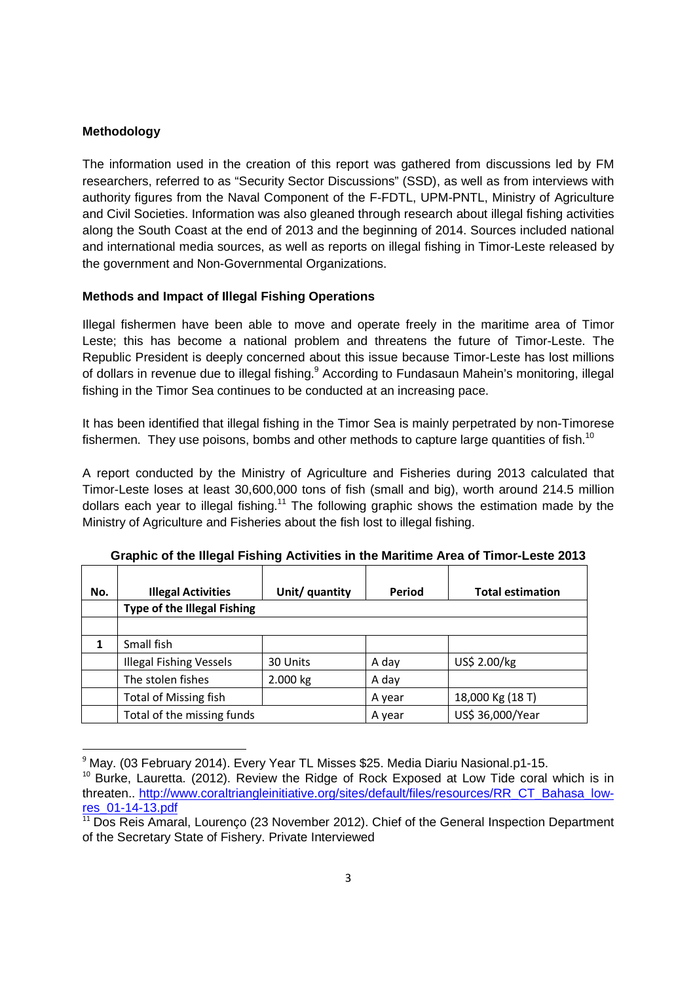### **Methodology**

The information used in the creation of this report was gathered from discussions led by FM researchers, referred to as "Security Sector Discussions" (SSD), as well as from interviews with authority figures from the Naval Component of the F-FDTL, UPM-PNTL, Ministry of Agriculture and Civil Societies. Information was also gleaned through research about illegal fishing activities along the South Coast at the end of 2013 and the beginning of 2014. Sources included national and international media sources, as well as reports on illegal fishing in Timor-Leste released by the government and Non-Governmental Organizations.

### **Methods and Impact of Illegal Fishing Operations**

Illegal fishermen have been able to move and operate freely in the maritime area of Timor Leste; this has become a national problem and threatens the future of Timor-Leste. The Republic President is deeply concerned about this issue because Timor-Leste has lost millions of dollars in revenue due to illegal fishing.<sup>9</sup> According to Fundasaun Mahein's monitoring, illegal fishing in the Timor Sea continues to be conducted at an increasing pace.

It has been identified that illegal fishing in the Timor Sea is mainly perpetrated by non-Timorese fishermen. They use poisons, bombs and other methods to capture large quantities of fish.<sup>10</sup>

A report conducted by the Ministry of Agriculture and Fisheries during 2013 calculated that Timor-Leste loses at least 30,600,000 tons of fish (small and big), worth around 214.5 million dollars each year to illegal fishing.<sup>11</sup> The following graphic shows the estimation made by the Ministry of Agriculture and Fisheries about the fish lost to illegal fishing.

| No. | <b>Illegal Activities</b>          | Unit/ quantity | Period | <b>Total estimation</b> |  |  |
|-----|------------------------------------|----------------|--------|-------------------------|--|--|
|     | <b>Type of the Illegal Fishing</b> |                |        |                         |  |  |
|     |                                    |                |        |                         |  |  |
|     | Small fish                         |                |        |                         |  |  |
|     | <b>Illegal Fishing Vessels</b>     | 30 Units       | A day  | US\$ 2.00/kg            |  |  |
|     | The stolen fishes                  | 2.000 kg       | A day  |                         |  |  |
|     | <b>Total of Missing fish</b>       |                | A year | 18,000 Kg (18 T)        |  |  |
|     | Total of the missing funds         |                | A year | US\$ 36,000/Year        |  |  |

**Graphic of the Illegal Fishing Activities in the Maritime Area of Timor-Leste 2013** 

<sup>&</sup>lt;sup>9</sup> May. (03 February 2014). Every Year TL Misses \$25. Media Diariu Nasional.p1-15.

 $10$  Burke, Lauretta. (2012). Review the Ridge of Rock Exposed at Low Tide coral which is in threaten.. http://www.coraltriangleinitiative.org/sites/default/files/resources/RR\_CT\_Bahasa\_lowres\_01-14-13.pdf

 $11$  Dos Reis Amaral, Lourenço (23 November 2012). Chief of the General Inspection Department of the Secretary State of Fishery. Private Interviewed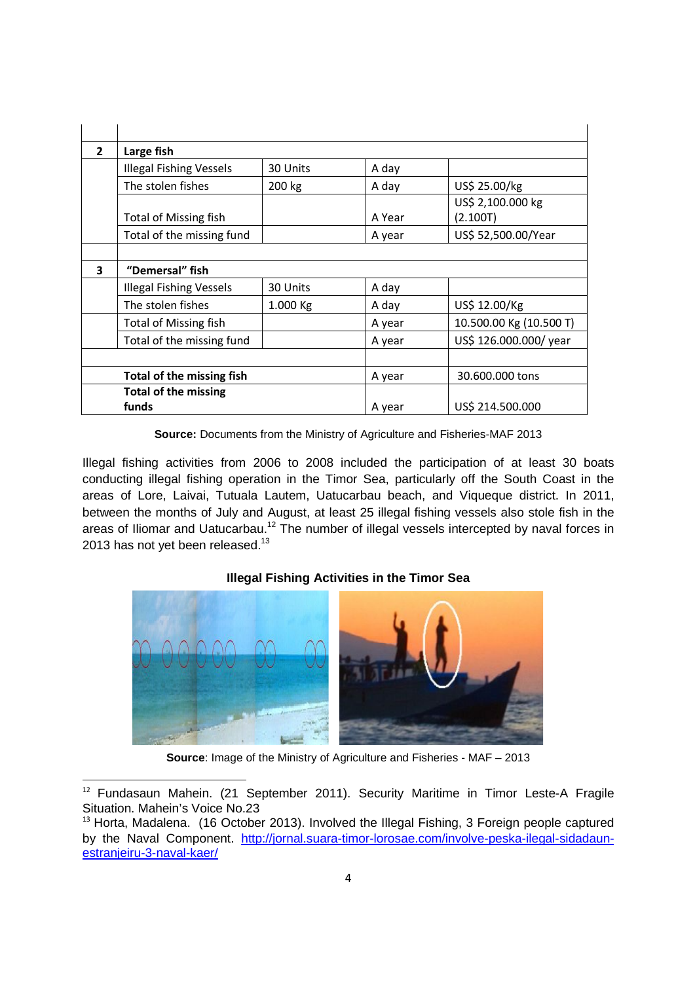| $\overline{2}$ | Large fish                           |          |        |                               |
|----------------|--------------------------------------|----------|--------|-------------------------------|
|                | <b>Illegal Fishing Vessels</b>       | 30 Units | A day  |                               |
|                | The stolen fishes                    | 200 kg   | A day  | US\$ 25.00/kg                 |
|                | <b>Total of Missing fish</b>         |          | A Year | US\$ 2,100.000 kg<br>(2.100T) |
|                | Total of the missing fund            |          | A year | US\$ 52,500.00/Year           |
|                |                                      |          |        |                               |
| 3              | "Demersal" fish                      |          |        |                               |
|                | <b>Illegal Fishing Vessels</b>       | 30 Units | A day  |                               |
|                | The stolen fishes                    | 1.000 Kg | A day  | US\$ 12.00/Kg                 |
|                | <b>Total of Missing fish</b>         |          | A year | 10.500.00 Kg (10.500 T)       |
|                | Total of the missing fund            |          | A year | US\$ 126.000.000/ year        |
|                |                                      |          |        |                               |
|                | Total of the missing fish            |          |        | 30.600.000 tons               |
|                | <b>Total of the missing</b><br>funds |          | A year | US\$ 214.500.000              |

**Source:** Documents from the Ministry of Agriculture and Fisheries-MAF 2013

Illegal fishing activities from 2006 to 2008 included the participation of at least 30 boats conducting illegal fishing operation in the Timor Sea, particularly off the South Coast in the areas of Lore, Laivai, Tutuala Lautem, Uatucarbau beach, and Viqueque district. In 2011, between the months of July and August, at least 25 illegal fishing vessels also stole fish in the areas of Iliomar and Uatucarbau.<sup>12</sup> The number of illegal vessels intercepted by naval forces in 2013 has not yet been released. $^{13}$ 

# **Illegal Fishing Activities in the Timor Sea**



**Source**: Image of the Ministry of Agriculture and Fisheries - MAF – 2013

 <sup>12</sup> Fundasaun Mahein. (21 September 2011). Security Maritime in Timor Leste-A Fragile Situation. Mahein's Voice No.23

 $13$  Horta, Madalena. (16 October 2013). Involved the Illegal Fishing, 3 Foreign people captured by the Naval Component. http://jornal.suara-timor-lorosae.com/involve-peska-ilegal-sidadaunestranjeiru-3-naval-kaer/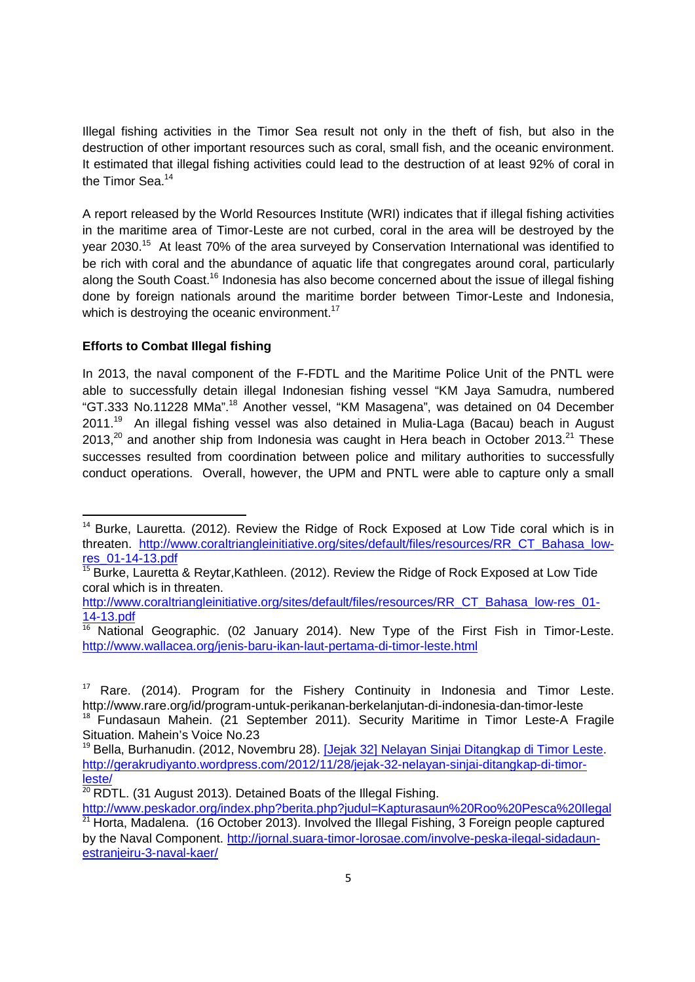Illegal fishing activities in the Timor Sea result not only in the theft of fish, but also in the destruction of other important resources such as coral, small fish, and the oceanic environment. It estimated that illegal fishing activities could lead to the destruction of at least 92% of coral in the Timor Sea.<sup>14</sup>

A report released by the World Resources Institute (WRI) indicates that if illegal fishing activities in the maritime area of Timor-Leste are not curbed, coral in the area will be destroyed by the year 2030.<sup>15</sup> At least 70% of the area surveyed by Conservation International was identified to be rich with coral and the abundance of aquatic life that congregates around coral, particularly along the South Coast.<sup>16</sup> Indonesia has also become concerned about the issue of illegal fishing done by foreign nationals around the maritime border between Timor-Leste and Indonesia, which is destroying the oceanic environment.<sup>17</sup>

## **Efforts to Combat Illegal fishing**

In 2013, the naval component of the F-FDTL and the Maritime Police Unit of the PNTL were able to successfully detain illegal Indonesian fishing vessel "KM Jaya Samudra, numbered "GT.333 No.11228 MMa".<sup>18</sup> Another vessel, "KM Masagena", was detained on 04 December  $2011.<sup>19</sup>$  An illegal fishing vessel was also detained in Mulia-Laga (Bacau) beach in August 2013, $2^{\circ}$  and another ship from Indonesia was caught in Hera beach in October 2013. $2^{\circ}$  These successes resulted from coordination between police and military authorities to successfully conduct operations. Overall, however, the UPM and PNTL were able to capture only a small

<sup>&</sup>lt;sup>14</sup> Burke. Lauretta. (2012). Review the Ridge of Rock Exposed at Low Tide coral which is in threaten. http://www.coraltriangleinitiative.org/sites/default/files/resources/RR\_CT\_Bahasa\_lowres\_01-14-13.pdf

<sup>&</sup>lt;sup>15</sup> Burke, Lauretta & Reytar, Kathleen. (2012). Review the Ridge of Rock Exposed at Low Tide coral which is in threaten.

http://www.coraltriangleinitiative.org/sites/default/files/resources/RR\_CT\_Bahasa\_low-res\_01- 14-13.pdf

 $16$  National Geographic. (02 January 2014). New Type of the First Fish in Timor-Leste. http://www.wallacea.org/jenis-baru-ikan-laut-pertama-di-timor-leste.html

 $17$  Rare. (2014). Program for the Fishery Continuity in Indonesia and Timor Leste. http://www.rare.org/id/program-untuk-perikanan-berkelanjutan-di-indonesia-dan-timor-leste <sup>18</sup> Fundasaun Mahein. (21 September 2011). Security Maritime in Timor Leste-A Fragile

Situation. Mahein's Voice No.23

<sup>&</sup>lt;sup>19</sup> Bella, Burhanudin. (2012, Novembru 28). [Jejak 32] Nelayan Sinjai Ditangkap di Timor Leste. http://gerakrudiyanto.wordpress.com/2012/11/28/jejak-32-nelayan-sinjai-ditangkap-di-timorleste/

<sup>20</sup> RDTL. (31 August 2013). Detained Boats of the Illegal Fishing.

http://www.peskador.org/index.php?berita.php?judul=Kapturasaun%20Roo%20Pesca%20Ilegal  $21$  Horta, Madalena. (16 October 2013). Involved the Illegal Fishing, 3 Foreign people captured by the Naval Component. http://jornal.suara-timor-lorosae.com/involve-peska-ilegal-sidadaunestranjeiru-3-naval-kaer/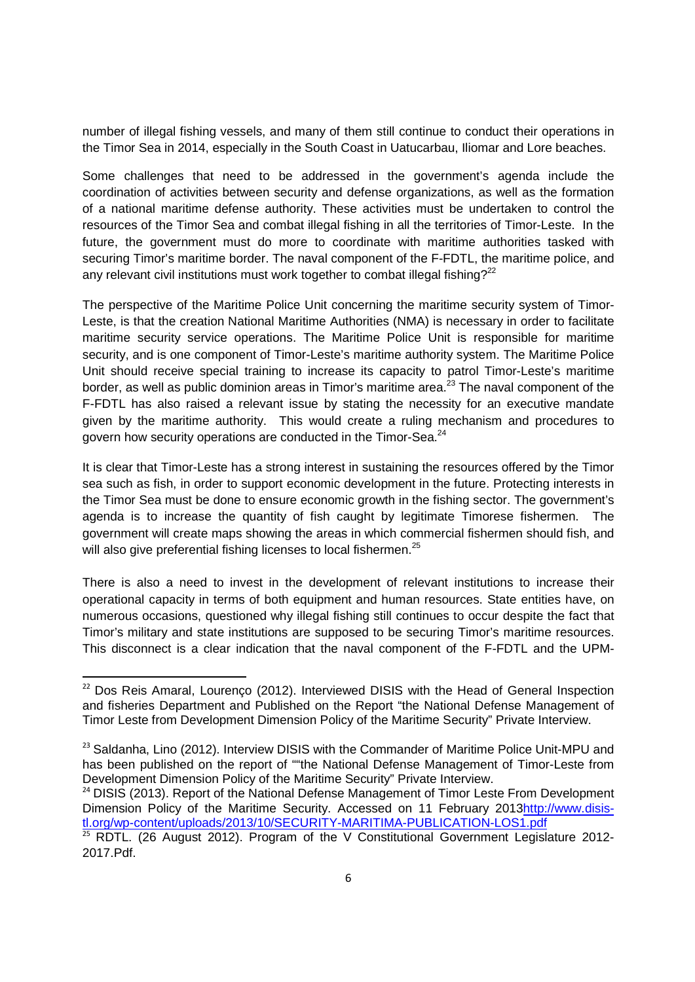number of illegal fishing vessels, and many of them still continue to conduct their operations in the Timor Sea in 2014, especially in the South Coast in Uatucarbau, Iliomar and Lore beaches.

Some challenges that need to be addressed in the government's agenda include the coordination of activities between security and defense organizations, as well as the formation of a national maritime defense authority. These activities must be undertaken to control the resources of the Timor Sea and combat illegal fishing in all the territories of Timor-Leste. In the future, the government must do more to coordinate with maritime authorities tasked with securing Timor's maritime border. The naval component of the F-FDTL, the maritime police, and any relevant civil institutions must work together to combat illegal fishing?<sup>22</sup>

The perspective of the Maritime Police Unit concerning the maritime security system of Timor-Leste, is that the creation National Maritime Authorities (NMA) is necessary in order to facilitate maritime security service operations. The Maritime Police Unit is responsible for maritime security, and is one component of Timor-Leste's maritime authority system. The Maritime Police Unit should receive special training to increase its capacity to patrol Timor-Leste's maritime border, as well as public dominion areas in Timor's maritime area.<sup>23</sup> The naval component of the F-FDTL has also raised a relevant issue by stating the necessity for an executive mandate given by the maritime authority. This would create a ruling mechanism and procedures to govern how security operations are conducted in the Timor-Sea.<sup>24</sup>

It is clear that Timor-Leste has a strong interest in sustaining the resources offered by the Timor sea such as fish, in order to support economic development in the future. Protecting interests in the Timor Sea must be done to ensure economic growth in the fishing sector. The government's agenda is to increase the quantity of fish caught by legitimate Timorese fishermen. The government will create maps showing the areas in which commercial fishermen should fish, and will also give preferential fishing licenses to local fishermen.<sup>25</sup>

There is also a need to invest in the development of relevant institutions to increase their operational capacity in terms of both equipment and human resources. State entities have, on numerous occasions, questioned why illegal fishing still continues to occur despite the fact that Timor's military and state institutions are supposed to be securing Timor's maritime resources. This disconnect is a clear indication that the naval component of the F-FDTL and the UPM-

<sup>&</sup>lt;sup>22</sup> Dos Reis Amaral, Lourenço (2012). Interviewed DISIS with the Head of General Inspection and fisheries Department and Published on the Report "the National Defense Management of Timor Leste from Development Dimension Policy of the Maritime Security" Private Interview.

 $23$  Saldanha, Lino (2012). Interview DISIS with the Commander of Maritime Police Unit-MPU and has been published on the report of ""the National Defense Management of Timor-Leste from Development Dimension Policy of the Maritime Security" Private Interview.

<sup>&</sup>lt;sup>24</sup> DISIS (2013). Report of the National Defense Management of Timor Leste From Development Dimension Policy of the Maritime Security. Accessed on 11 February 2013http://www.disistl.org/wp-content/uploads/2013/10/SECURITY-MARITIMA-PUBLICATION-LOS1.pdf

<sup>25</sup> RDTL. (26 August 2012). Program of the V Constitutional Government Legislature 2012- 2017.Pdf.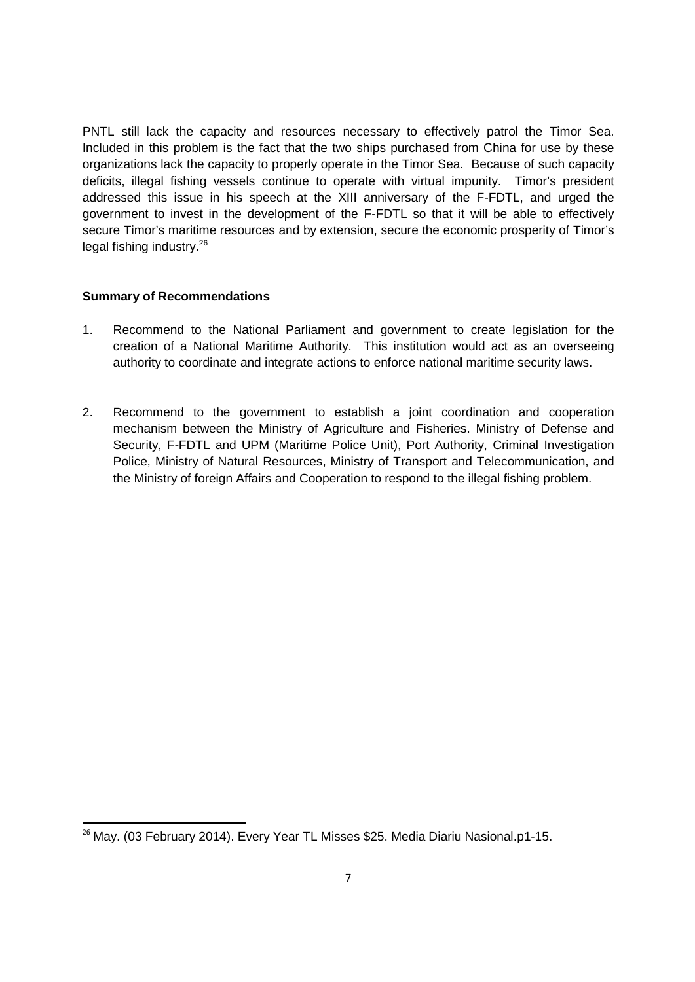PNTL still lack the capacity and resources necessary to effectively patrol the Timor Sea. Included in this problem is the fact that the two ships purchased from China for use by these organizations lack the capacity to properly operate in the Timor Sea. Because of such capacity deficits, illegal fishing vessels continue to operate with virtual impunity. Timor's president addressed this issue in his speech at the XIII anniversary of the F-FDTL, and urged the government to invest in the development of the F-FDTL so that it will be able to effectively secure Timor's maritime resources and by extension, secure the economic prosperity of Timor's legal fishing industry.<sup>26</sup>

### **Summary of Recommendations**

- 1. Recommend to the National Parliament and government to create legislation for the creation of a National Maritime Authority. This institution would act as an overseeing authority to coordinate and integrate actions to enforce national maritime security laws.
- 2. Recommend to the government to establish a joint coordination and cooperation mechanism between the Ministry of Agriculture and Fisheries. Ministry of Defense and Security, F-FDTL and UPM (Maritime Police Unit), Port Authority, Criminal Investigation Police, Ministry of Natural Resources, Ministry of Transport and Telecommunication, and the Ministry of foreign Affairs and Cooperation to respond to the illegal fishing problem.

<sup>&</sup>lt;sup>26</sup> May. (03 February 2014). Every Year TL Misses \$25. Media Diariu Nasional.p1-15.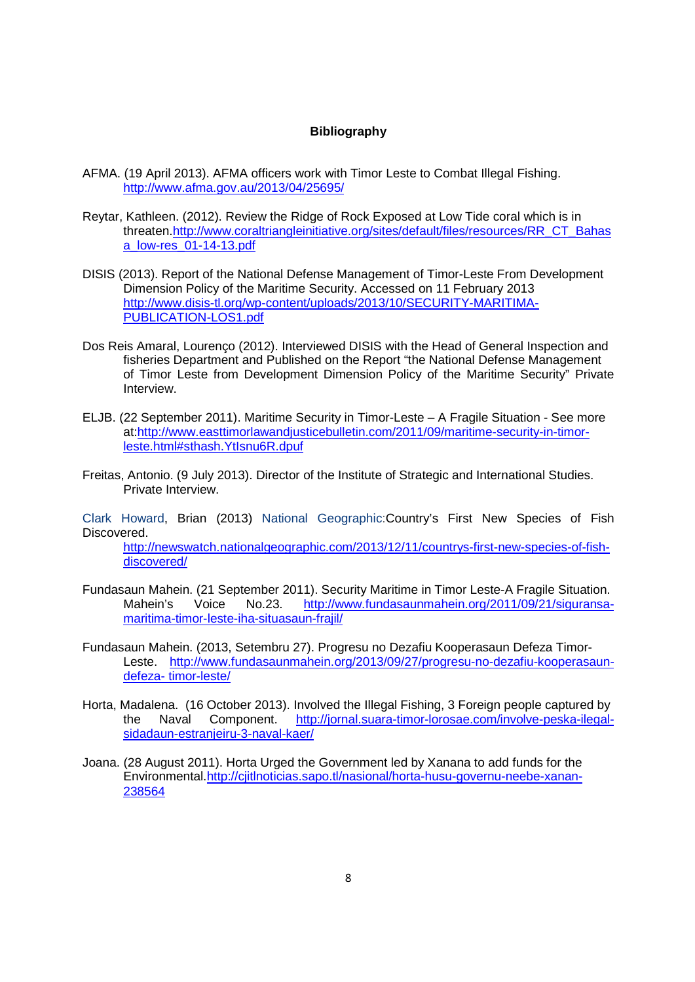#### **Bibliography**

- AFMA. (19 April 2013). AFMA officers work with Timor Leste to Combat Illegal Fishing. http://www.afma.gov.au/2013/04/25695/
- Reytar, Kathleen. (2012). Review the Ridge of Rock Exposed at Low Tide coral which is in threaten.http://www.coraltriangleinitiative.org/sites/default/files/resources/RR\_CT\_Bahas a\_low-res\_01-14-13.pdf
- DISIS (2013). Report of the National Defense Management of Timor-Leste From Development Dimension Policy of the Maritime Security. Accessed on 11 February 2013 http://www.disis-tl.org/wp-content/uploads/2013/10/SECURITY-MARITIMA-PUBLICATION-LOS1.pdf
- Dos Reis Amaral, Lourenço (2012). Interviewed DISIS with the Head of General Inspection and fisheries Department and Published on the Report "the National Defense Management of Timor Leste from Development Dimension Policy of the Maritime Security" Private Interview.
- ELJB. (22 September 2011). Maritime Security in Timor-Leste A Fragile Situation See more at:http://www.easttimorlawandjusticebulletin.com/2011/09/maritime-security-in-timorleste.html#sthash.YtIsnu6R.dpuf
- Freitas, Antonio. (9 July 2013). Director of the Institute of Strategic and International Studies. Private Interview.

Clark Howard, Brian (2013) National Geographic:Country's First New Species of Fish Discovered.

http://newswatch.nationalgeographic.com/2013/12/11/countrys-first-new-species-of-fishdiscovered/

- Fundasaun Mahein. (21 September 2011). Security Maritime in Timor Leste-A Fragile Situation. Mahein's Voice No.23. http://www.fundasaunmahein.org/2011/09/21/siguransamaritima-timor-leste-iha-situasaun-frajil/
- Fundasaun Mahein. (2013, Setembru 27). Progresu no Dezafiu Kooperasaun Defeza Timor-Leste. http://www.fundasaunmahein.org/2013/09/27/progresu-no-dezafiu-kooperasaundefeza- timor-leste/
- Horta, Madalena. (16 October 2013). Involved the Illegal Fishing, 3 Foreign people captured by the Naval Component. http://jornal.suara-timor-lorosae.com/involve-peska-ilegalsidadaun-estranjeiru-3-naval-kaer/
- Joana. (28 August 2011). Horta Urged the Government led by Xanana to add funds for the Environmental.http://cjitlnoticias.sapo.tl/nasional/horta-husu-governu-neebe-xanan-238564